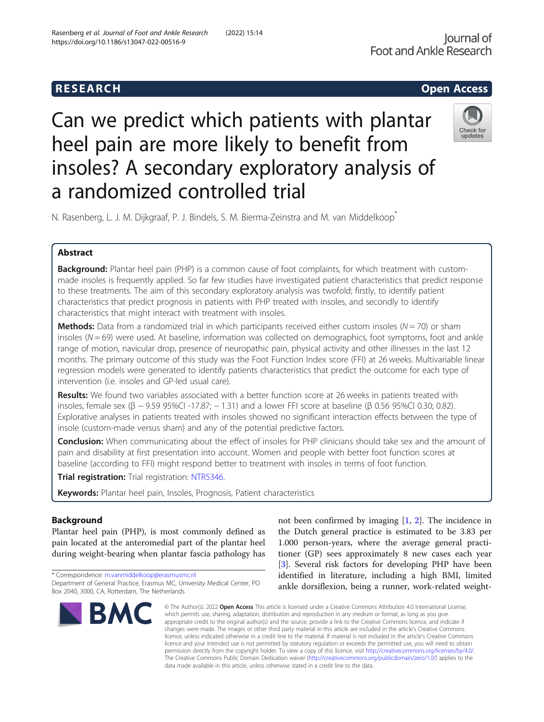# **RESEARCH CHEAR CHEAR CHEAR CHEAR CHEAR CHEAR CHEAR CHEAR CHEAR CHEAR CHEAR CHEAR CHEAR CHEAR CHEAR CHEAR CHEAR**

# Can we predict which patients with plantar heel pain are more likely to benefit from insoles? A secondary exploratory analysis of a randomized controlled trial



N. Rasenberg, L. J. M. Dijkgraaf, P. J. Bindels, S. M. Bierma-Zeinstra and M. van Middelkoop\*

# Abstract

Background: Plantar heel pain (PHP) is a common cause of foot complaints, for which treatment with custommade insoles is frequently applied. So far few studies have investigated patient characteristics that predict response to these treatments. The aim of this secondary exploratory analysis was twofold; firstly, to identify patient characteristics that predict prognosis in patients with PHP treated with insoles, and secondly to identify characteristics that might interact with treatment with insoles.

**Methods:** Data from a randomized trial in which participants received either custom insoles ( $N = 70$ ) or sham insoles ( $N = 69$ ) were used. At baseline, information was collected on demographics, foot symptoms, foot and ankle range of motion, navicular drop, presence of neuropathic pain, physical activity and other illnesses in the last 12 months. The primary outcome of this study was the Foot Function Index score (FFI) at 26 weeks. Multivariable linear regression models were generated to identify patients characteristics that predict the outcome for each type of intervention (i.e. insoles and GP-led usual care).

Results: We found two variables associated with a better function score at 26 weeks in patients treated with insoles, female sex (β − 9.59 95%CI -17.87; − 1.31) and a lower FFI score at baseline (β 0.56 95%CI 0.30; 0.82). Explorative analyses in patients treated with insoles showed no significant interaction effects between the type of insole (custom-made versus sham) and any of the potential predictive factors.

**Conclusion:** When communicating about the effect of insoles for PHP clinicians should take sex and the amount of pain and disability at first presentation into account. Women and people with better foot function scores at baseline (according to FFI) might respond better to treatment with insoles in terms of foot function.

Trial registration: Trial registration: [NTR5346.](https://www.trialregister.nl/trial/5198)

Keywords: Plantar heel pain, Insoles, Prognosis, Patient characteristics

# Background

Plantar heel pain (PHP), is most commonly defined as pain located at the anteromedial part of the plantar heel during weight-bearing when plantar fascia pathology has

\* Correspondence: [m.vanmiddelkoop@erasmusmc.nl](mailto:m.vanmiddelkoop@erasmusmc.nl) Department of General Practice, Erasmus MC, University Medical Center, PO Box 2040, 3000, CA, Rotterdam, The Netherlands



not been confirmed by imaging  $[1, 2]$  $[1, 2]$  $[1, 2]$  $[1, 2]$ . The incidence in the Dutch general practice is estimated to be 3.83 per 1.000 person-years, where the average general practitioner (GP) sees approximately 8 new cases each year [[3\]](#page-6-0). Several risk factors for developing PHP have been identified in literature, including a high BMI, limited ankle dorsiflexion, being a runner, work-related weight-

© The Author(s), 2022 **Open Access** This article is licensed under a Creative Commons Attribution 4.0 International License, which permits use, sharing, adaptation, distribution and reproduction in any medium or format, as long as you give appropriate credit to the original author(s) and the source, provide a link to the Creative Commons licence, and indicate if changes were made. The images or other third party material in this article are included in the article's Creative Commons licence, unless indicated otherwise in a credit line to the material. If material is not included in the article's Creative Commons licence and your intended use is not permitted by statutory regulation or exceeds the permitted use, you will need to obtain permission directly from the copyright holder. To view a copy of this licence, visit [http://creativecommons.org/licenses/by/4.0/.](http://creativecommons.org/licenses/by/4.0/) The Creative Commons Public Domain Dedication waiver [\(http://creativecommons.org/publicdomain/zero/1.0/](http://creativecommons.org/publicdomain/zero/1.0/)) applies to the data made available in this article, unless otherwise stated in a credit line to the data.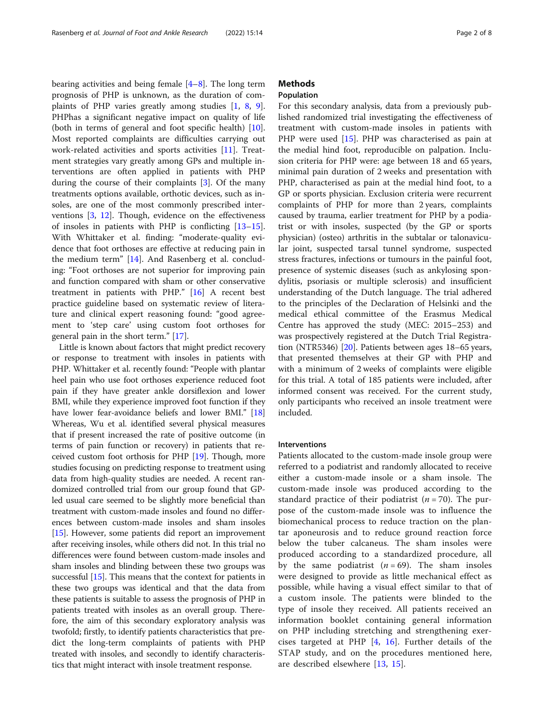bearing activities and being female [\[4](#page-6-0)–[8\]](#page-6-0). The long term prognosis of PHP is unknown, as the duration of complaints of PHP varies greatly among studies [[1,](#page-6-0) [8](#page-6-0), [9](#page-6-0)]. PHPhas a significant negative impact on quality of life (both in terms of general and foot specific health) [\[10](#page-6-0)]. Most reported complaints are difficulties carrying out work-related activities and sports activities [\[11\]](#page-6-0). Treatment strategies vary greatly among GPs and multiple interventions are often applied in patients with PHP during the course of their complaints [\[3](#page-6-0)]. Of the many treatments options available, orthotic devices, such as insoles, are one of the most commonly prescribed interventions [[3](#page-6-0), [12\]](#page-6-0). Though, evidence on the effectiveness of insoles in patients with PHP is conflicting [[13](#page-6-0)–[15](#page-6-0)]. With Whittaker et al. finding: "moderate-quality evidence that foot orthoses are effective at reducing pain in the medium term" [\[14](#page-6-0)]. And Rasenberg et al. concluding: "Foot orthoses are not superior for improving pain and function compared with sham or other conservative treatment in patients with PHP." [\[16](#page-6-0)] A recent best practice guideline based on systematic review of literature and clinical expert reasoning found: "good agreement to 'step care' using custom foot orthoses for general pain in the short term." [[17\]](#page-6-0).

Little is known about factors that might predict recovery or response to treatment with insoles in patients with PHP. Whittaker et al. recently found: "People with plantar heel pain who use foot orthoses experience reduced foot pain if they have greater ankle dorsiflexion and lower BMI, while they experience improved foot function if they have lower fear-avoidance beliefs and lower BMI." [[18](#page-6-0)] Whereas, Wu et al. identified several physical measures that if present increased the rate of positive outcome (in terms of pain function or recovery) in patients that received custom foot orthosis for PHP [[19](#page-6-0)]. Though, more studies focusing on predicting response to treatment using data from high-quality studies are needed. A recent randomized controlled trial from our group found that GPled usual care seemed to be slightly more beneficial than treatment with custom-made insoles and found no differences between custom-made insoles and sham insoles [[15](#page-6-0)]. However, some patients did report an improvement after receiving insoles, while others did not. In this trial no differences were found between custom-made insoles and sham insoles and blinding between these two groups was successful [\[15\]](#page-6-0). This means that the context for patients in these two groups was identical and that the data from these patients is suitable to assess the prognosis of PHP in patients treated with insoles as an overall group. Therefore, the aim of this secondary exploratory analysis was twofold; firstly, to identify patients characteristics that predict the long-term complaints of patients with PHP treated with insoles, and secondly to identify characteristics that might interact with insole treatment response.

# **Methods**

# Population

For this secondary analysis, data from a previously published randomized trial investigating the effectiveness of treatment with custom-made insoles in patients with PHP were used [\[15](#page-6-0)]. PHP was characterised as pain at the medial hind foot, reproducible on palpation. Inclusion criteria for PHP were: age between 18 and 65 years, minimal pain duration of 2 weeks and presentation with PHP, characterised as pain at the medial hind foot, to a GP or sports physician. Exclusion criteria were recurrent complaints of PHP for more than 2 years, complaints caused by trauma, earlier treatment for PHP by a podiatrist or with insoles, suspected (by the GP or sports physician) (osteo) arthritis in the subtalar or talonavicular joint, suspected tarsal tunnel syndrome, suspected stress fractures, infections or tumours in the painful foot, presence of systemic diseases (such as ankylosing spondylitis, psoriasis or multiple sclerosis) and insufficient understanding of the Dutch language. The trial adhered to the principles of the Declaration of Helsinki and the medical ethical committee of the Erasmus Medical Centre has approved the study (MEC: 2015–253) and was prospectively registered at the Dutch Trial Registration (NTR5346) [[20](#page-6-0)]. Patients between ages 18–65 years, that presented themselves at their GP with PHP and with a minimum of 2 weeks of complaints were eligible for this trial. A total of 185 patients were included, after informed consent was received. For the current study, only participants who received an insole treatment were included.

#### Interventions

Patients allocated to the custom-made insole group were referred to a podiatrist and randomly allocated to receive either a custom-made insole or a sham insole. The custom-made insole was produced according to the standard practice of their podiatrist  $(n = 70)$ . The purpose of the custom-made insole was to influence the biomechanical process to reduce traction on the plantar aponeurosis and to reduce ground reaction force below the tuber calcaneus. The sham insoles were produced according to a standardized procedure, all by the same podiatrist  $(n = 69)$ . The sham insoles were designed to provide as little mechanical effect as possible, while having a visual effect similar to that of a custom insole. The patients were blinded to the type of insole they received. All patients received an information booklet containing general information on PHP including stretching and strengthening exercises targeted at PHP [\[4](#page-6-0), [16](#page-6-0)]. Further details of the STAP study, and on the procedures mentioned here, are described elsewhere [[13,](#page-6-0) [15\]](#page-6-0).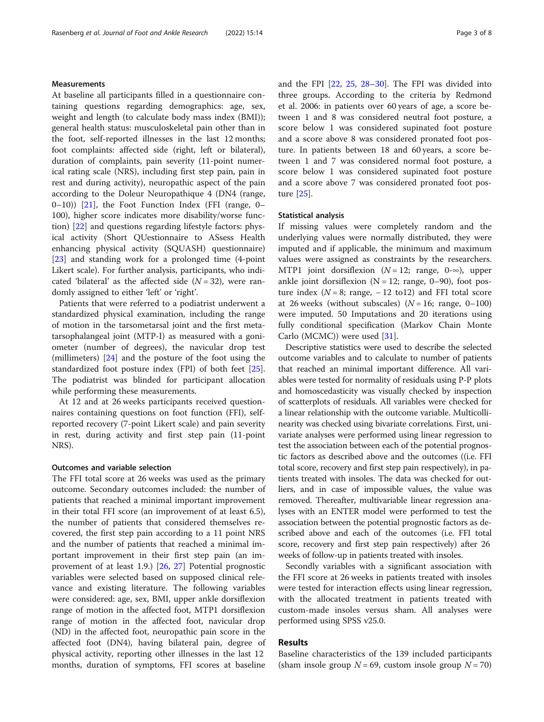# **Measurements**

At baseline all participants filled in a questionnaire containing questions regarding demographics: age, sex, weight and length (to calculate body mass index (BMI)); general health status: musculoskeletal pain other than in the foot, self-reported illnesses in the last 12 months; foot complaints: affected side (right, left or bilateral), duration of complaints, pain severity (11-point numerical rating scale (NRS), including first step pain, pain in rest and during activity), neuropathic aspect of the pain according to the Doleur Neuropathique 4 (DN4 (range,  $(0-10)$ )  $[21]$ , the Foot Function Index (FFI (range, 0– 100), higher score indicates more disability/worse function) [[22](#page-6-0)] and questions regarding lifestyle factors: physical activity (Short QUestionnaire to ASsess Health enhancing physical activity (SQUASH) questionnaire) [[23\]](#page-7-0) and standing work for a prolonged time (4-point Likert scale). For further analysis, participants, who indicated 'bilateral' as the affected side  $(N = 32)$ , were randomly assigned to either 'left' or 'right'.

Patients that were referred to a podiatrist underwent a standardized physical examination, including the range of motion in the tarsometarsal joint and the first metatarsophalangeal joint (MTP-I) as measured with a goniometer (number of degrees), the navicular drop test (millimeters) [\[24\]](#page-7-0) and the posture of the foot using the standardized foot posture index (FPI) of both feet [\[25](#page-7-0)]. The podiatrist was blinded for participant allocation while performing these measurements.

At 12 and at 26 weeks participants received questionnaires containing questions on foot function (FFI), selfreported recovery (7-point Likert scale) and pain severity in rest, during activity and first step pain (11-point NRS).

# Outcomes and variable selection

The FFI total score at 26 weeks was used as the primary outcome. Secondary outcomes included: the number of patients that reached a minimal important improvement in their total FFI score (an improvement of at least 6.5), the number of patients that considered themselves recovered, the first step pain according to a 11 point NRS and the number of patients that reached a minimal important improvement in their first step pain (an improvement of at least 1.9.) [[26](#page-7-0), [27](#page-7-0)] Potential prognostic variables were selected based on supposed clinical relevance and existing literature. The following variables were considered: age, sex, BMI, upper ankle dorsiflexion range of motion in the affected foot, MTP1 dorsiflexion range of motion in the affected foot, navicular drop (ND) in the affected foot, neuropathic pain score in the affected foot (DN4), having bilateral pain, degree of physical activity, reporting other illnesses in the last 12 months, duration of symptoms, FFI scores at baseline and the FPI [[22](#page-6-0), [25,](#page-7-0) [28](#page-7-0)–[30\]](#page-7-0). The FPI was divided into three groups. According to the criteria by Redmond et al. 2006: in patients over 60 years of age, a score between 1 and 8 was considered neutral foot posture, a score below 1 was considered supinated foot posture and a score above 8 was considered pronated foot posture. In patients between 18 and 60 years, a score between 1 and 7 was considered normal foot posture, a score below 1 was considered supinated foot posture and a score above 7 was considered pronated foot posture [\[25](#page-7-0)].

# Statistical analysis

If missing values were completely random and the underlying values were normally distributed, they were imputed and if applicable, the minimum and maximum values were assigned as constraints by the researchers. MTP1 joint dorsiflexion ( $N = 12$ ; range, 0-∞), upper ankle joint dorsiflexion  $(N = 12;$  range, 0–90), foot posture index ( $N = 8$ ; range,  $-12$  to12) and FFI total score at 26 weeks (without subscales)  $(N = 16; \text{ range}, 0-100)$ were imputed. 50 Imputations and 20 iterations using fully conditional specification (Markov Chain Monte Carlo (MCMC)) were used [\[31\]](#page-7-0).

Descriptive statistics were used to describe the selected outcome variables and to calculate to number of patients that reached an minimal important difference. All variables were tested for normality of residuals using P-P plots and homoscedasticity was visually checked by inspection of scatterplots of residuals. All variables were checked for a linear relationship with the outcome variable. Multicollinearity was checked using bivariate correlations. First, univariate analyses were performed using linear regression to test the association between each of the potential prognostic factors as described above and the outcomes ((i.e. FFI total score, recovery and first step pain respectively), in patients treated with insoles. The data was checked for outliers, and in case of impossible values, the value was removed. Thereafter, multivariable linear regression analyses with an ENTER model were performed to test the association between the potential prognostic factors as described above and each of the outcomes (i.e. FFI total score, recovery and first step pain respectively) after 26 weeks of follow-up in patients treated with insoles.

Secondly variables with a significant association with the FFI score at 26 weeks in patients treated with insoles were tested for interaction effects using linear regression, with the allocated treatment in patients treated with custom-made insoles versus sham. All analyses were performed using SPSS v25.0.

# Results

Baseline characteristics of the 139 included participants (sham insole group  $N = 69$ , custom insole group  $N = 70$ )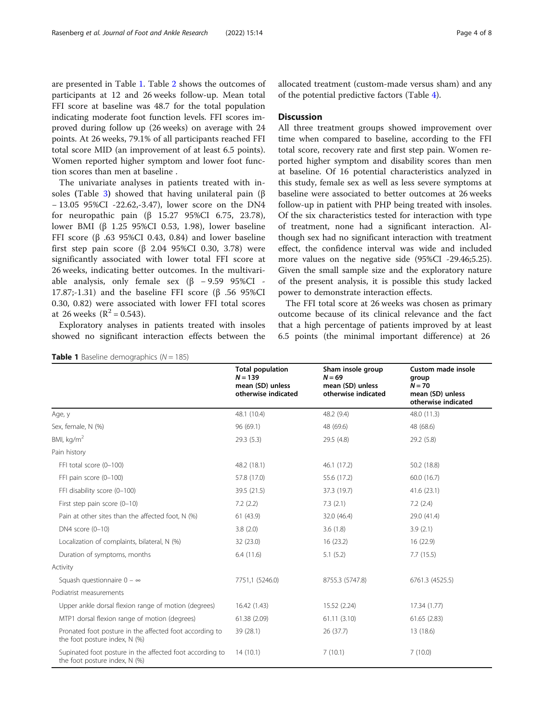are presented in Table 1. Table [2](#page-4-0) shows the outcomes of participants at 12 and 26 weeks follow-up. Mean total FFI score at baseline was 48.7 for the total population indicating moderate foot function levels. FFI scores improved during follow up (26 weeks) on average with 24 points. At 26 weeks, 79.1% of all participants reached FFI total score MID (an improvement of at least 6.5 points). Women reported higher symptom and lower foot function scores than men at baseline .

The univariate analyses in patients treated with in-soles (Table [3](#page-4-0)) showed that having unilateral pain ( $\beta$ − 13.05 95%CI -22.62,-3.47), lower score on the DN4 for neuropathic pain (β 15.27 95%CI 6.75, 23.78), lower BMI (β 1.25 95%CI 0.53, 1.98), lower baseline FFI score (β .63 95%CI 0.43, 0.84) and lower baseline first step pain score (β 2.04 95%CI 0.30, 3.78) were significantly associated with lower total FFI score at 26 weeks, indicating better outcomes. In the multivariable analysis, only female sex  $(\beta - 9.59 \, 95\%CI -$ 17.87;-1.31) and the baseline FFI score (β .56 95%CI 0.30, 0.82) were associated with lower FFI total scores at 26 weeks ( $R^2 = 0.543$ ).

Exploratory analyses in patients treated with insoles showed no significant interaction effects between the

| <b>Table 1</b> Baseline demographics ( $N = 185$ ) |  |
|----------------------------------------------------|--|
|----------------------------------------------------|--|

allocated treatment (custom-made versus sham) and any of the potential predictive factors (Table [4\)](#page-5-0).

# **Discussion**

All three treatment groups showed improvement over time when compared to baseline, according to the FFI total score, recovery rate and first step pain. Women reported higher symptom and disability scores than men at baseline. Of 16 potential characteristics analyzed in this study, female sex as well as less severe symptoms at baseline were associated to better outcomes at 26 weeks follow-up in patient with PHP being treated with insoles. Of the six characteristics tested for interaction with type of treatment, none had a significant interaction. Although sex had no significant interaction with treatment effect, the confidence interval was wide and included more values on the negative side (95%CI -29.46;5.25). Given the small sample size and the exploratory nature of the present analysis, it is possible this study lacked power to demonstrate interaction effects.

The FFI total score at 26 weeks was chosen as primary outcome because of its clinical relevance and the fact that a high percentage of patients improved by at least 6.5 points (the minimal important difference) at 26

|                                                                                           | <b>Total population</b><br>$N = 139$<br>mean (SD) unless<br>otherwise indicated | Sham insole group<br>$N = 69$<br>mean (SD) unless<br>otherwise indicated | <b>Custom made insole</b><br>group<br>$N = 70$<br>mean (SD) unless<br>otherwise indicated |
|-------------------------------------------------------------------------------------------|---------------------------------------------------------------------------------|--------------------------------------------------------------------------|-------------------------------------------------------------------------------------------|
| Age, y                                                                                    | 48.1 (10.4)                                                                     | 48.2 (9.4)                                                               | 48.0 (11.3)                                                                               |
| Sex, female, N (%)                                                                        | 96 (69.1)                                                                       | 48 (69.6)                                                                | 48 (68.6)                                                                                 |
| BMI, $kg/m2$                                                                              | 29.3(5.3)                                                                       | 29.5 (4.8)                                                               | 29.2 (5.8)                                                                                |
| Pain history                                                                              |                                                                                 |                                                                          |                                                                                           |
| FFI total score (0-100)                                                                   | 48.2 (18.1)                                                                     | 46.1 (17.2)                                                              | 50.2 (18.8)                                                                               |
| FFI pain score (0-100)                                                                    | 57.8 (17.0)                                                                     | 55.6 (17.2)                                                              | 60.0 (16.7)                                                                               |
| FFI disability score (0-100)                                                              | 39.5 (21.5)                                                                     | 37.3 (19.7)                                                              | 41.6(23.1)                                                                                |
| First step pain score (0-10)                                                              | 7.2(2.2)                                                                        | 7.3(2.1)                                                                 | 7.2(2.4)                                                                                  |
| Pain at other sites than the affected foot, N (%)                                         | 61 (43.9)                                                                       | 32.0 (46.4)                                                              | 29.0 (41.4)                                                                               |
| DN4 score (0-10)                                                                          | 3.8(2.0)                                                                        | 3.6(1.8)                                                                 | 3.9(2.1)                                                                                  |
| Localization of complaints, bilateral, N (%)                                              | 32 (23.0)                                                                       | 16(23.2)                                                                 | 16 (22.9)                                                                                 |
| Duration of symptoms, months                                                              | 6.4(11.6)                                                                       | 5.1(5.2)                                                                 | 7.7(15.5)                                                                                 |
| Activity                                                                                  |                                                                                 |                                                                          |                                                                                           |
| Squash questionnaire $0 - \infty$                                                         | 7751,1 (5246.0)                                                                 | 8755.3 (5747.8)                                                          | 6761.3 (4525.5)                                                                           |
| Podiatrist measurements                                                                   |                                                                                 |                                                                          |                                                                                           |
| Upper ankle dorsal flexion range of motion (degrees)                                      | 16.42 (1.43)                                                                    | 15.52 (2.24)                                                             | 17.34 (1.77)                                                                              |
| MTP1 dorsal flexion range of motion (degrees)                                             | 61.38 (2.09)                                                                    | 61.11(3.10)                                                              | 61.65(2.83)                                                                               |
| Pronated foot posture in the affected foot according to<br>the foot posture index, N (%)  | 39 (28.1)                                                                       | 26 (37.7)                                                                | 13 (18.6)                                                                                 |
| Supinated foot posture in the affected foot according to<br>the foot posture index, N (%) | 14(10.1)                                                                        | 7(10.1)                                                                  | 7(10.0)                                                                                   |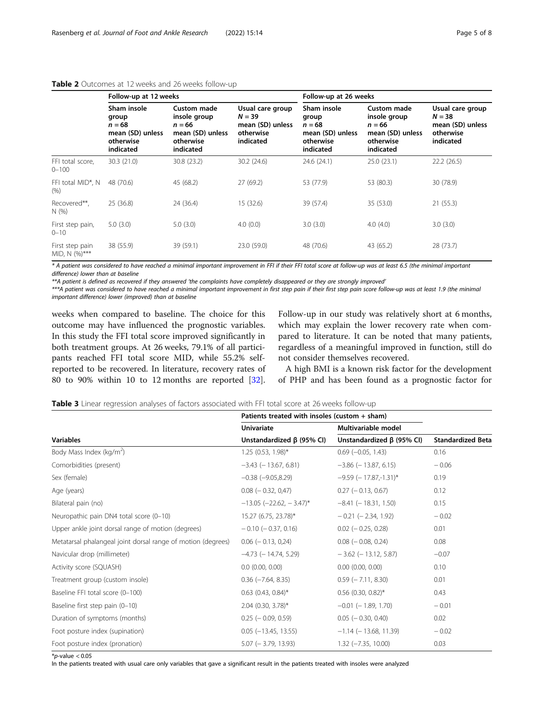|                                  | Follow-up at 12 weeks                                                          |                                                                                              |                                                                            | Follow-up at 26 weeks                                                          |                                                                                              |                                                                            |
|----------------------------------|--------------------------------------------------------------------------------|----------------------------------------------------------------------------------------------|----------------------------------------------------------------------------|--------------------------------------------------------------------------------|----------------------------------------------------------------------------------------------|----------------------------------------------------------------------------|
|                                  | Sham insole<br>group<br>$n = 68$<br>mean (SD) unless<br>otherwise<br>indicated | <b>Custom made</b><br>insole group<br>$n = 66$<br>mean (SD) unless<br>otherwise<br>indicated | Usual care group<br>$N = 39$<br>mean (SD) unless<br>otherwise<br>indicated | Sham insole<br>group<br>$n = 68$<br>mean (SD) unless<br>otherwise<br>indicated | <b>Custom made</b><br>insole group<br>$n = 66$<br>mean (SD) unless<br>otherwise<br>indicated | Usual care group<br>$N = 38$<br>mean (SD) unless<br>otherwise<br>indicated |
| FFI total score,<br>$0 - 100$    | 30.3 (21.0)                                                                    | 30.8 (23.2)                                                                                  | 30.2 (24.6)                                                                | 24.6 (24.1)                                                                    | 25.0(23.1)                                                                                   | 22.2(26.5)                                                                 |
| FFI total MID*, N<br>(% )        | 48 (70.6)                                                                      | 45 (68.2)                                                                                    | 27(69.2)                                                                   | 53 (77.9)                                                                      | 53 (80.3)                                                                                    | 30 (78.9)                                                                  |
| Recovered**,<br>N(%)             | 25(36.8)                                                                       | 24 (36.4)                                                                                    | 15 (32.6)                                                                  | 39 (57.4)                                                                      | 35 (53.0)                                                                                    | 21(55.3)                                                                   |
| First step pain,<br>$0 - 10$     | 5.0(3.0)                                                                       | 5.0(3.0)                                                                                     | 4.0(0.0)                                                                   | 3.0(3.0)                                                                       | 4.0(4.0)                                                                                     | 3.0(3.0)                                                                   |
| First step pain<br>MID, N (%)*** | 38 (55.9)                                                                      | 39 (59.1)                                                                                    | 23.0 (59.0)                                                                | 48 (70.6)                                                                      | 43 (65.2)                                                                                    | 28 (73.7)                                                                  |

# <span id="page-4-0"></span>Table 2 Outcomes at 12 weeks and 26 weeks follow-up

\* A patient was considered to have reached a minimal important improvement in FFI if their FFI total score at follow-up was at least 6.5 (the minimal important difference) lower than at baseline

\*\*A patient is defined as recovered if they answered 'the complaints have completely disappeared or they are strongly improved'

\*\*\*A patient was considered to have reached a minimal important improvement in first step pain if their first step pain score follow-up was at least 1.9 (the minimal important difference) lower (improved) than at baseline

weeks when compared to baseline. The choice for this outcome may have influenced the prognostic variables. In this study the FFI total score improved significantly in both treatment groups. At 26 weeks, 79.1% of all participants reached FFI total score MID, while 55.2% selfreported to be recovered. In literature, recovery rates of 80 to 90% within 10 to 12 months are reported [\[32](#page-7-0)].

Follow-up in our study was relatively short at 6 months, which may explain the lower recovery rate when compared to literature. It can be noted that many patients, regardless of a meaningful improved in function, still do not consider themselves recovered.

A high BMI is a known risk factor for the development of PHP and has been found as a prognostic factor for

| <b>Table 3</b> Linear regression analyses of factors associated with FFI total score at 26 weeks follow-up |  |  |  |  |  |
|------------------------------------------------------------------------------------------------------------|--|--|--|--|--|
|------------------------------------------------------------------------------------------------------------|--|--|--|--|--|

|                                                              | Patients treated with insoles (custom + sham) |                                 |                          |  |
|--------------------------------------------------------------|-----------------------------------------------|---------------------------------|--------------------------|--|
|                                                              | <b>Univariate</b>                             | Multivariable model             |                          |  |
| <b>Variables</b>                                             | Unstandardized $\beta$ (95% CI)               | Unstandardized $\beta$ (95% CI) | <b>Standardized Beta</b> |  |
| Body Mass Index (kg/m <sup>2</sup> )                         | $1.25(0.53, 1.98)$ *                          | $0.69$ ( $-0.05$ , 1.43)        | 0.16                     |  |
| Comorbidities (present)                                      | $-3.43$ ( $-13.67$ , 6.81)                    | $-3.86$ ( $-13.87$ , 6.15)      | $-0.06$                  |  |
| Sex (female)                                                 | $-0.38$ $(-9.05, 8.29)$                       | $-9.59$ (-17.87,-1.31)*         | 0.19                     |  |
| Age (years)                                                  | $0.08$ ( $-0.32, 0.47$ )                      | $0.27$ ( $-0.13$ , 0.67)        | 0.12                     |  |
| Bilateral pain (no)                                          | $-13.05$ ( $-22.62$ , $-3.47$ )*              | $-8.41$ ( $-18.31$ , 1.50)      | 0.15                     |  |
| Neuropathic pain DN4 total score (0-10)                      | 15.27 (6.75, 23.78)*                          | $-0.21$ ( $-2.34$ , 1.92)       | $-0.02$                  |  |
| Upper ankle joint dorsal range of motion (degrees)           | $-0.10$ ( $-0.37$ , 0.16)                     | $0.02$ ( $-0.25, 0.28$ )        | 0.01                     |  |
| Metatarsal phalangeal joint dorsal range of motion (degrees) | $0.06$ ( $-0.13$ , 0,24)                      | $0.08$ ( $-0.08$ , 0.24)        | 0.08                     |  |
| Navicular drop (millimeter)                                  | $-4.73$ ( $-14.74$ , 5.29)                    | $-3.62$ ( $-13.12, 5.87$ )      | $-0.07$                  |  |
| Activity score (SQUASH)                                      | $0.0$ $(0.00, 0.00)$                          | $0.00$ $(0.00, 0.00)$           | 0.10                     |  |
| Treatment group (custom insole)                              | $0.36$ ( $-7.64$ , 8.35)                      | $0.59$ ( $-7.11$ , 8.30)        | 0.01                     |  |
| Baseline FFI total score (0-100)                             | $0.63$ (0.43, 0.84)*                          | $0.56$ (0.30, 0.82)*            | 0.43                     |  |
| Baseline first step pain (0-10)                              | $2.04$ (0.30, 3.78)*                          | $-0.01$ ( $-1.89$ , 1.70)       | $-0.01$                  |  |
| Duration of symptoms (months)                                | $0.25$ ( $-0.09, 0.59$ )                      | $0.05$ ( $-0.30, 0.40$ )        | 0.02                     |  |
| Foot posture index (supination)                              | $0.05$ (-13.45, 13.55)                        | $-1.14$ ( $-13.68$ , 11.39)     | $-0.02$                  |  |
| Foot posture index (pronation)                               | $5.07$ ( $-3.79$ , 13.93)                     | $1.32$ ( $-7.35$ , 10.00)       | 0.03                     |  |

 $*p$ -value < 0.05

In the patients treated with usual care only variables that gave a significant result in the patients treated with insoles were analyzed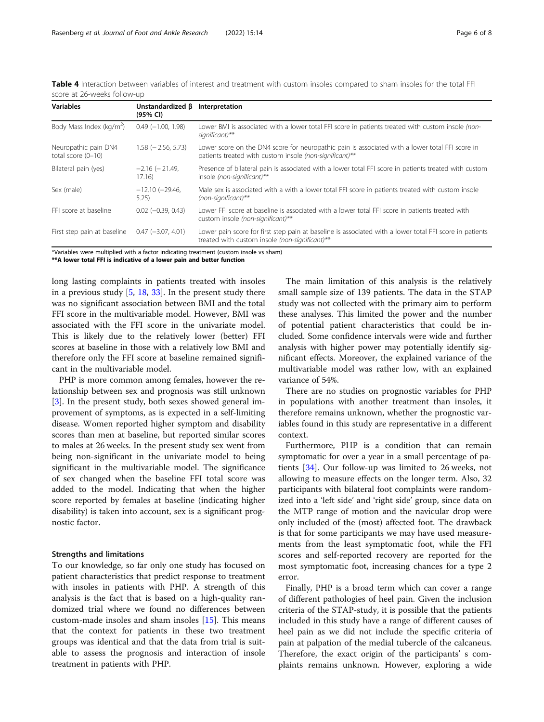<span id="page-5-0"></span>Table 4 Interaction between variables of interest and treatment with custom insoles compared to sham insoles for the total FFI score at 26-weeks follow-up

| <b>Variables</b>                             | Unstandardized $\beta$<br>(95% CI) | Interpretation                                                                                                                                             |
|----------------------------------------------|------------------------------------|------------------------------------------------------------------------------------------------------------------------------------------------------------|
| Body Mass Index (kg/m <sup>2</sup> )         | $0.49(-1.00, 1.98)$                | Lower BMI is associated with a lower total FFI score in patients treated with custom insole (non-<br>significant)**                                        |
| Neuropathic pain DN4<br>total score $(0-10)$ | $1.58$ ( $-2.56$ , 5.73)           | Lower score on the DN4 score for neuropathic pain is associated with a lower total FFI score in<br>patients treated with custom insole (non-significant)** |
| Bilateral pain (yes)                         | $-2.16$ ( $-21.49$ )<br>17.16)     | Presence of bilateral pain is associated with a lower total FFI score in patients treated with custom<br>insole (non-significant)**                        |
| Sex (male)                                   | $-12.10 (-29.46,$<br>5.25)         | Male sex is associated with a with a lower total FFI score in patients treated with custom insole<br>$(non-significant)$ **                                |
| FFI score at baseline                        | $0.02$ (-0.39, 0.43)               | Lower FFI score at baseline is associated with a lower total FFI score in patients treated with<br>custom insole (non-significant)**                       |
| First step pain at baseline                  | $0.47$ (-3.07, 4.01)               | Lower pain score for first step pain at baseline is associated with a lower total FFI score in patients<br>treated with custom insole (non-significant)**  |

\*Variables were multiplied with a factor indicating treatment (custom insole vs sham)

\*\*A lower total FFI is indicative of a lower pain and better function

long lasting complaints in patients treated with insoles in a previous study [[5,](#page-6-0) [18,](#page-6-0) [33\]](#page-7-0). In the present study there was no significant association between BMI and the total FFI score in the multivariable model. However, BMI was associated with the FFI score in the univariate model. This is likely due to the relatively lower (better) FFI scores at baseline in those with a relatively low BMI and therefore only the FFI score at baseline remained significant in the multivariable model.

PHP is more common among females, however the relationship between sex and prognosis was still unknown [[3\]](#page-6-0). In the present study, both sexes showed general improvement of symptoms, as is expected in a self-limiting disease. Women reported higher symptom and disability scores than men at baseline, but reported similar scores to males at 26 weeks. In the present study sex went from being non-significant in the univariate model to being significant in the multivariable model. The significance of sex changed when the baseline FFI total score was added to the model. Indicating that when the higher score reported by females at baseline (indicating higher disability) is taken into account, sex is a significant prognostic factor.

## Strengths and limitations

To our knowledge, so far only one study has focused on patient characteristics that predict response to treatment with insoles in patients with PHP. A strength of this analysis is the fact that is based on a high-quality randomized trial where we found no differences between custom-made insoles and sham insoles [\[15](#page-6-0)]. This means that the context for patients in these two treatment groups was identical and that the data from trial is suitable to assess the prognosis and interaction of insole treatment in patients with PHP.

The main limitation of this analysis is the relatively small sample size of 139 patients. The data in the STAP study was not collected with the primary aim to perform these analyses. This limited the power and the number of potential patient characteristics that could be included. Some confidence intervals were wide and further analysis with higher power may potentially identify significant effects. Moreover, the explained variance of the multivariable model was rather low, with an explained variance of 54%.

There are no studies on prognostic variables for PHP in populations with another treatment than insoles, it therefore remains unknown, whether the prognostic variables found in this study are representative in a different context.

Furthermore, PHP is a condition that can remain symptomatic for over a year in a small percentage of patients [[34](#page-7-0)]. Our follow-up was limited to 26 weeks, not allowing to measure effects on the longer term. Also, 32 participants with bilateral foot complaints were randomized into a 'left side' and 'right side' group, since data on the MTP range of motion and the navicular drop were only included of the (most) affected foot. The drawback is that for some participants we may have used measurements from the least symptomatic foot, while the FFI scores and self-reported recovery are reported for the most symptomatic foot, increasing chances for a type 2 error.

Finally, PHP is a broad term which can cover a range of different pathologies of heel pain. Given the inclusion criteria of the STAP-study, it is possible that the patients included in this study have a range of different causes of heel pain as we did not include the specific criteria of pain at palpation of the medial tubercle of the calcaneus. Therefore, the exact origin of the participants' s complaints remains unknown. However, exploring a wide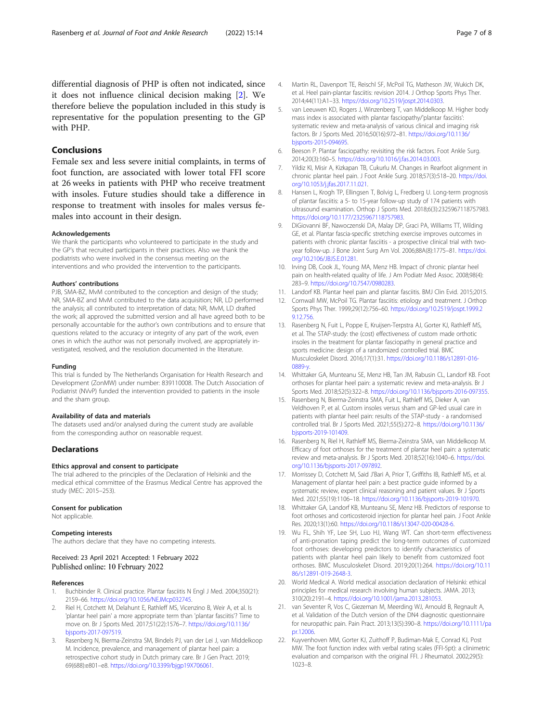<span id="page-6-0"></span>differential diagnosis of PHP is often not indicated, since it does not influence clinical decision making [2]. We therefore believe the population included in this study is representative for the population presenting to the GP with PHP.

# Conclusions

Female sex and less severe initial complaints, in terms of foot function, are associated with lower total FFI score at 26 weeks in patients with PHP who receive treatment with insoles. Future studies should take a difference in response to treatment with insoles for males versus females into account in their design.

#### Acknowledgements

We thank the participants who volunteered to participate in the study and the GP's that recruited participants in their practices. Also we thank the podiatrists who were involved in the consensus meeting on the interventions and who provided the intervention to the participants.

#### Authors' contributions

PJB, SMA-BZ, MvM contributed to the conception and design of the study; NR, SMA-BZ and MvM contributed to the data acquisition; NR, LD performed the analysis; all contributed to interpretation of data; NR, MvM, LD drafted the work; all approved the submitted version and all have agreed both to be personally accountable for the author's own contributions and to ensure that questions related to the accuracy or integrity of any part of the work, even ones in which the author was not personally involved, are appropriately investigated, resolved, and the resolution documented in the literature.

#### Funding

This trial is funded by The Netherlands Organisation for Health Research and Development (ZonMW) under number: 839110008. The Dutch Association of Podiatrist (NVvP) funded the intervention provided to patients in the insole and the sham group.

# Availability of data and materials

The datasets used and/or analysed during the current study are available from the corresponding author on reasonable request.

# **Declarations**

# Ethics approval and consent to participate

The trial adhered to the principles of the Declaration of Helsinki and the medical ethical committee of the Erasmus Medical Centre has approved the study (MEC: 2015–253).

# Consent for publication

Not applicable.

# Competing interests

The authors declare that they have no competing interests.

# Received: 23 April 2021 Accepted: 1 February 2022 Published online: 10 February 2022

# References

- Buchbinder R. Clinical practice. Plantar fasciitis N Engl J Med. 2004;350(21): 2159–66. <https://doi.org/10.1056/NEJMcp032745>.
- 2. Riel H, Cotchett M, Delahunt E, Rathleff MS, Vicenzino B, Weir A, et al. Is 'plantar heel pain' a more appropriate term than 'plantar fasciitis'? Time to move on. Br J Sports Med. 2017;51(22):1576–7. [https://doi.org/10.1136/](https://doi.org/10.1136/bjsports-2017-097519) [bjsports-2017-097519](https://doi.org/10.1136/bjsports-2017-097519).
- Rasenberg N, Bierma-Zeinstra SM, Bindels PJ, van der Lei J, van Middelkoop M. Incidence, prevalence, and management of plantar heel pain: a retrospective cohort study in Dutch primary care. Br J Gen Pract. 2019; 69(688):e801–e8. <https://doi.org/10.3399/bjgp19X706061>.
- 4. Martin RL, Davenport TE, Reischl SF, McPoil TG, Matheson JW, Wukich DK, et al. Heel pain-plantar fasciitis: revision 2014. J Orthop Sports Phys Ther. 2014;44(11):A1–33. <https://doi.org/10.2519/jospt.2014.0303>.
- 5. van Leeuwen KD, Rogers J, Winzenberg T, van Middelkoop M. Higher body mass index is associated with plantar fasciopathy/'plantar fasciitis': systematic review and meta-analysis of various clinical and imaging risk factors. Br J Sports Med. 2016;50(16):972–81. [https://doi.org/10.1136/](https://doi.org/10.1136/bjsports-2015-094695) [bjsports-2015-094695](https://doi.org/10.1136/bjsports-2015-094695).
- 6. Beeson P. Plantar fasciopathy: revisiting the risk factors. Foot Ankle Surg. 2014;20(3):160–5. <https://doi.org/10.1016/j.fas.2014.03.003>.
- 7. Yildiz KI, Misir A, Kizkapan TB, Cukurlu M. Changes in Rearfoot alignment in chronic plantar heel pain. J Foot Ankle Surg. 2018;57(3):518–20. [https://doi.](https://doi.org/10.1053/j.jfas.2017.11.021) [org/10.1053/j.jfas.2017.11.021](https://doi.org/10.1053/j.jfas.2017.11.021).
- 8. Hansen L, Krogh TP, Ellingsen T, Bolvig L, Fredberg U. Long-term prognosis of plantar fasciitis: a 5- to 15-year follow-up study of 174 patients with ultrasound examination. Orthop J Sports Med. 2018;6(3):2325967118757983. [https://doi.org/10.1177/2325967118757983.](https://doi.org/10.1177/2325967118757983)
- 9. DiGiovanni BF, Nawoczenski DA, Malay DP, Graci PA, Williams TT, Wilding GE, et al. Plantar fascia-specific stretching exercise improves outcomes in patients with chronic plantar fasciitis - a prospective clinical trial with twoyear follow-up. J Bone Joint Surg Am Vol. 2006;88A(8):1775–81. [https://doi.](https://doi.org/10.2106/JBJS.E.01281) [org/10.2106/JBJS.E.01281](https://doi.org/10.2106/JBJS.E.01281).
- 10. Irving DB, Cook JL, Young MA, Menz HB. Impact of chronic plantar heel pain on health-related quality of life. J Am Podiatr Med Assoc. 2008;98(4): 283–9. <https://doi.org/10.7547/0980283>.
- 11. Landorf KB. Plantar heel pain and plantar fasciitis. BMJ Clin Evid. 2015;2015.
- 12. Cornwall MW, McPoil TG. Plantar fasciitis: etiology and treatment. J Orthop Sports Phys Ther. 1999;29(12):756–60. [https://doi.org/10.2519/jospt.1999.2](https://doi.org/10.2519/jospt.1999.29.12.756) [9.12.756.](https://doi.org/10.2519/jospt.1999.29.12.756)
- 13. Rasenberg N, Fuit L, Poppe E, Kruijsen-Terpstra AJ, Gorter KJ, Rathleff MS, et al. The STAP-study: the (cost) effectiveness of custom made orthotic insoles in the treatment for plantar fasciopathy in general practice and sports medicine: design of a randomized controlled trial. BMC Musculoskelet Disord. 2016;17(1):31. [https://doi.org/10.1186/s12891-016-](https://doi.org/10.1186/s12891-016-0889-y) [0889-y.](https://doi.org/10.1186/s12891-016-0889-y)
- 14. Whittaker GA, Munteanu SE, Menz HB, Tan JM, Rabusin CL, Landorf KB. Foot orthoses for plantar heel pain: a systematic review and meta-analysis. Br J Sports Med. 2018;52(5):322–8. <https://doi.org/10.1136/bjsports-2016-097355>.
- 15. Rasenberg N, Bierma-Zeinstra SMA, Fuit L, Rathleff MS, Dieker A, van Veldhoven P, et al. Custom insoles versus sham and GP-led usual care in patients with plantar heel pain: results of the STAP-study - a randomised controlled trial. Br J Sports Med. 2021;55(5):272–8. [https://doi.org/10.1136/](https://doi.org/10.1136/bjsports-2019-101409) [bjsports-2019-101409](https://doi.org/10.1136/bjsports-2019-101409).
- 16. Rasenberg N, Riel H, Rathleff MS, Bierma-Zeinstra SMA, van Middelkoop M. Efficacy of foot orthoses for the treatment of plantar heel pain: a systematic review and meta-analysis. Br J Sports Med. 2018;52(16):1040–6. [https://doi.](https://doi.org/10.1136/bjsports-2017-097892) [org/10.1136/bjsports-2017-097892.](https://doi.org/10.1136/bjsports-2017-097892)
- 17. Morrissey D, Cotchett M, Said J'Bari A, Prior T, Griffiths IB, Rathleff MS, et al. Management of plantar heel pain: a best practice guide informed by a systematic review, expert clinical reasoning and patient values. Br J Sports Med. 2021;55(19):1106–18. <https://doi.org/10.1136/bjsports-2019-101970>.
- 18. Whittaker GA, Landorf KB, Munteanu SE, Menz HB. Predictors of response to foot orthoses and corticosteroid injection for plantar heel pain. J Foot Ankle Res. 2020;13(1):60. [https://doi.org/10.1186/s13047-020-00428-6.](https://doi.org/10.1186/s13047-020-00428-6)
- 19. Wu FL, Shih YF, Lee SH, Luo HJ, Wang WT. Can short-term effectiveness of anti-pronation taping predict the long-term outcomes of customized foot orthoses: developing predictors to identify characteristics of patients with plantar heel pain likely to benefit from customized foot orthoses. BMC Musculoskelet Disord. 2019;20(1):264. [https://doi.org/10.11](https://doi.org/10.1186/s12891-019-2648-3) [86/s12891-019-2648-3.](https://doi.org/10.1186/s12891-019-2648-3)
- 20. World Medical A. World medical association declaration of Helsinki: ethical principles for medical research involving human subjects. JAMA. 2013; 310(20):2191–4. <https://doi.org/10.1001/jama.2013.281053>.
- 21. van Seventer R, Vos C, Giezeman M, Meerding WJ, Arnould B, Regnault A, et al. Validation of the Dutch version of the DN4 diagnostic questionnaire for neuropathic pain. Pain Pract. 2013;13(5):390–8. [https://doi.org/10.1111/pa](https://doi.org/10.1111/papr.12006) [pr.12006.](https://doi.org/10.1111/papr.12006)
- 22. Kuyvenhoven MM, Gorter KJ, Zuithoff P, Budiman-Mak E, Conrad KJ, Post MW. The foot function index with verbal rating scales (FFI-5pt): a clinimetric evaluation and comparison with the original FFI. J Rheumatol. 2002;29(5): 1023–8.